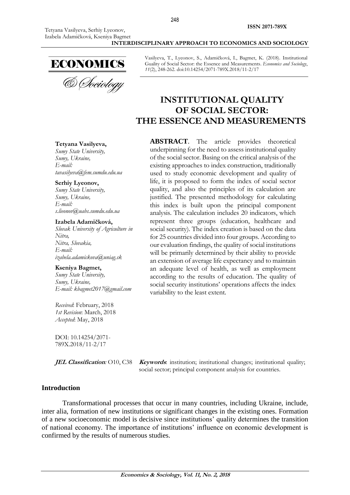ECONOMICS<br>& *Cheiology* 

Vasilyeva, T., Lyeonov, S., Adamičková, I., Bagmet, K. (2018). Institutional Guality of Social Sector: the Essence and Measurements. *Economics and Sociology*, *11*(2), 248-262. doi:10.14254/2071-789X.2018/11-2/17

# **INSTITUTIONAL QUALITY OF SOCIAL SECTOR: THE ESSENCE AND MEASUREMENTS**

**ABSTRACT**. The article provides theoretical underpinning for the need to assess institutional quality of the social sector. Basing on the critical analysis of the existing approaches to index construction, traditionally used to study economic development and quality of life, it is proposed to form the index of social sector quality, and also the principles of its calculation are justified. The presented methodology for calculating this index is built upon the principal component analysis. The calculation includes 20 indicators, which represent three groups (education, healthcare and social security). The index creation is based on the data for 25 countries divided into four groups. According to our evaluation findings, the quality of social institutions will be primarily determined by their ability to provide an extension of average life expectancy and to maintain an adequate level of health, as well as employment according to the results of education. The quality of social security institutions' operations affects the index variability to the least extent.

#### **Tetyana Vasilyeva,**

*Sumy State University, Sumy, Ukraine, E-mail: [tavasilyeva@fem.sumdu.edu.ua](mailto:tavasilyeva@fem.sumdu.edu.ua)*

#### **Serhiy Lyeonov,**

*Sumy State University, Sumy, Ukraine, E-mail: [s.lieonov@uabs.sumdu.edu.ua](mailto:s.lieonov@uabs.sumdu.edu.ua)*

#### **Izabela Adamičková,**

*Slovak University of Agriculture in Nitra, Nitra, Slovakia, E-mail: izabela.adamickova@uniag.sk*

#### **Kseniya Bagmet,**

*Sumy State University, Sumy, Ukraine, E-mail: [kbagmet2017@gmail.com](mailto:kbagmet2017@gmail.com)*

*Received*: February, 2018 *1st Revision*: March, 2018 *Accepted*: May, 2018

DOI: 10.14254/2071- 789X.2018/11-2/17

**JEL Classification**: O10, C38 **Keywords**: institution; institutional changes; institutional quality; social sector; principal component analysis for countries.

#### **Introduction**

Transformational processes that occur in many countries, including Ukraine, include, inter alia, formation of new institutions or significant changes in the existing ones. Formation of a new socioeconomic model is decisive since institutions' quality determines the transition of national economy. The importance of institutions' influence on economic development is confirmed by the results of numerous studies.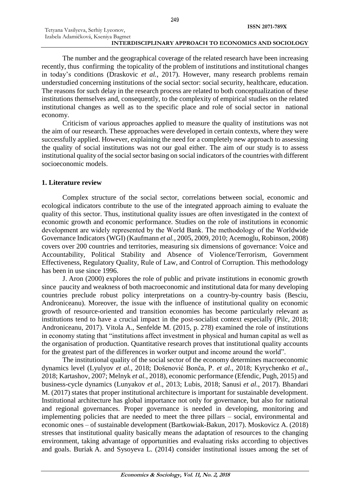The number and the geographical coverage of the related research have been increasing recently, thus confirming the topicality of the problem of institutions and institutional changes in today's conditions (Draskovic *et al.*, 2017). However, many research problems remain understudied concerning institutions of the social sector: social security, healthcare, education. The reasons for such delay in the research process are related to both conceptualization of these institutions themselves and, consequently, to the complexity of empirical studies on the related institutional changes as well as to the specific place and role of social sector in national economy.

Criticism of various approaches applied to measure the quality of institutions was not the aim of our research. These approaches were developed in certain contexts, where they were successfully applied. However, explaining the need for a completely new approach to assessing the quality of social institutions was not our goal either. The aim of our study is to assess institutional quality of the social sector basing on social indicators of the countries with different socioeconomic models.

# **1. Literature review**

Complex structure of the social sector, correlations between social, economic and ecological indicators contribute to the use of the integrated approach aiming to evaluate the quality of this sector. Thus, institutional quality issues are often investigated in the context of economic growth and economic performance. Studies on the role of institutions in economic development are widely represented by the World Bank. Тhe methodology of the Worldwide Governance Indicators (WGI) (Kaufmann *et al.*, 2005, 2009, 2010; Acemoglu, Robinson, 2008) covers over 200 countries and territories, measuring six dimensions of governance: Voice and Accountability, Political Stability and Absence of Violence/Terrorism, Government Effectiveness, Regulatory Quality, Rule of Law, and Control of Corruption. This methodology has been in use since 1996.

J. Aron (2000) explores the role of public and private institutions in economic growth since paucity and weakness of both macroeconomic and institutional data for many developing countries preclude robust policy interpretations on a country-by-country basis (Besciu, Androniceanu). Moreover, the issue with the influence of institutional quality on economic growth of resource-oriented and transition economies has become particularly relevant as institutions tend to have a crucial impact in the post-socialist context especially (Pilc, 2018; Androniceanu, 2017). Vitola A., Senfelde M. (2015, p. 278) examined the role of institutions in economy stating that "institutions affect investment in physical and human capital as well as the organisation of production. Quantitative research proves that institutional quality accounts for the greatest part of the differences in worker output and income around the world".

The institutional quality of the social sector of the economy determines macroeconomic dynamics level (Lyulyov *et al.*, 2018; Došenović Bonča, P. *et al.*, 2018; Kyrychenko *et al*., 2018; Kartashov, 2007; Melnyk *et al.*, 2018), economic performance (Efendic, Pugh, 2015) and business-cycle dynamics (Lunyakov *et al*., 2013; Lubis, 2018; Sanusi *et al.*, 2017). Bhandari M. (2017) states that proper institutional architecture is important for sustainable development. Institutional architecture has global importance not only for governance, but also for national and regional governances. Proper governance is needed in developing, monitoring and implementing policies that are needed to meet the three pillars – social, environmental and economic ones – of sustainable development (Bartkowiak-Bakun, 2017). Moskovicz A. (2018) stresses that institutional quality basically means the adaptation of resources to the changing environment, taking advantage of opportunities and evaluating risks according to objectives and goals. Buriak A. and Sysoyeva L. (2014) consider institutional issues among the set of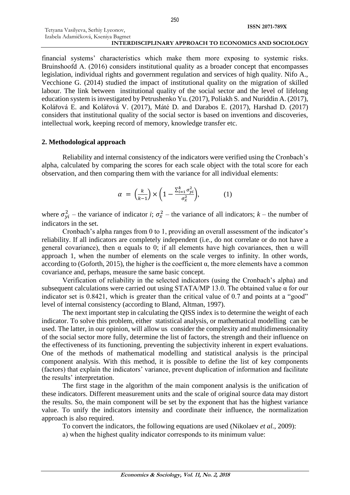financial systems' characteristics which make them more exposing to systemic risks. Вruinshoofd А. (2016) considers institutional quality as a broader concept that encompasses legislation, individual rights and government regulation and services of high quality. Nifo A., Vecchione G. (2014) studied the impact of institutional quality on the migration of skilled labour. The link between institutional quality of the social sector and the level of lifelong education system is investigated by Petrushenko Yu. (2017), Poliakh S. and Nuriddin A. (2017), Kolářová E. and Kolářová V. (2017), Máté D. and Darabos E. (2017), Harshad D. (2017) considers that institutional quality of the social sector is based on inventions and discoveries, intellectual work, keeping record of memory, knowledge transfer etc.

# **2. Methodological approach**

Reliability and internal consistency of the indicators were verified using the Cronbach's alpha, calculated by comparing the scores for each scale object with the total score for each observation, and then comparing them with the variance for all individual elements:

$$
\alpha = \left(\frac{k}{k-1}\right) \times \left(1 - \frac{\sum_{i=1}^{k} \sigma_{yi}^2}{\sigma_x^2}\right),\tag{1}
$$

where  $\sigma_{yi}^2$  – the variance of indicator *i*;  $\sigma_x^2$  – the variance of all indicators; *k* – the number of indicators in the set.

Cronbach's alpha ranges from 0 to 1, providing an overall assessment of the indicator's reliability. If all indicators are completely independent (i.e., do not correlate or do not have a general covariance), then  $\alpha$  equals to 0; if all elements have high covariances, then  $\alpha$  will approach 1, when the number of elements on the scale verges to infinity. In other words, according to (Goforth, 2015), the higher is the coefficient  $α$ , the more elements have a common covariance and, perhaps, measure the same basic concept.

Verification of reliability in the selected indicators (using the Cronbach's alpha) and subsequent calculations were carried out using STATA/MP 13.0. The obtained value α for our indicator set is 0.8421, which is greater than the critical value of 0.7 and points at a "good" level of internal consistency (according to Bland, Altman, 1997).

The next important step in calculating the QISS index is to determine the weight of each indicator. To solve this problem, either statistical analysis, or mathematical modelling can be used. The latter, in our opinion, will allow us consider the complexity and multidimensionality of the social sector more fully, determine the list of factors, the strength and their influence on the effectiveness of its functioning, preventing the subjectivity inherent in expert evaluations. One of the methods of mathematical modelling and statistical analysis is the principal component analysis. With this method, it is possible to define the list of key components (factors) that explain the indicators' variance, prevent duplication of information and facilitate the results' interpretation.

The first stage in the algorithm of the main component analysis is the unification of these indicators. Different measurement units and the scale of original source data may distort the results. So, the main component will be set by the exponent that has the highest variance value. To unify the indicators intensity and coordinate their influence, the normalization approach is also required.

To convert the indicators, the following equations are used (Nikolaev *et al.*, 2009):

а) when the highest quality indicator corresponds to its minimum value: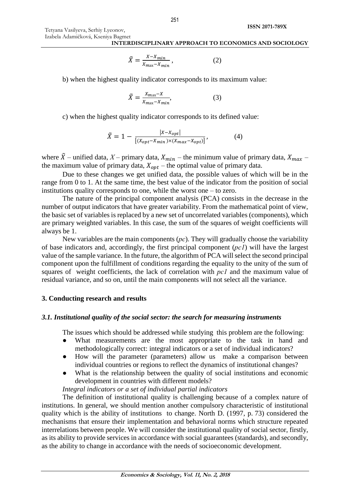Tetyana Vasilyeva, Serhiy Lyeonov, Izabela Adamičková, Kseniya Bagmet

# **INTERDISCIPLINARY APPROACH TO ECONOMICS AND SOCIOLOGY**

$$
\tilde{X} = \frac{X - X_{min}}{X_{max} - X_{min}}\,,\tag{2}
$$

b) when the highest quality indicator corresponds to its maximum value:

$$
\tilde{X} = \frac{X_{\text{max}} - X}{X_{\text{max}} - X_{\text{min}}},\tag{3}
$$

c) when the highest quality indicator corresponds to its defined value:

$$
\tilde{X} = 1 - \frac{|X - X_{opt}|}{[(X_{opt} - X_{min}) \times (X_{max} - X_{opt})]},
$$
\n(4)

where  $\tilde{X}$  – unified data,  $X$ – primary data,  $X_{min}$  – the minimum value of primary data,  $X_{max}$  – the maximum value of primary data,  $X_{opt}$  – the optimal value of primary data.

Due to these changes we get unified data, the possible values of which will be in the range from 0 to 1. At the same time, the best value of the indicator from the position of social institutions quality corresponds to one, while the worst one – to zero.

The nature of the principal component analysis (PCA) consists in the decrease in the number of output indicators that have greater variability. From the mathematical point of view, the basic set of variables is replaced by a new set of uncorrelated variables (components), which are primary weighted variables. In this case, the sum of the squares of weight coefficients will always be 1.

New variables are the main components (*рс*). They will gradually choose the variability of base indicators and, accordingly, the first principal component (*рс1*) will have the largest value of the sample variance. In the future, the algorithm of PCA will select the second principal component upon the fulfillment of conditions regarding the equality to the unity of the sum of squares of weight coefficients, the lack of correlation with *рс1* and the maximum value of residual variance, and so on, until the main components will not select all the variance.

# **3. Conducting research and results**

# *3.1. Institutional quality of the social sector: the search for measuring instruments*

The issues which should be addressed while studying this problem are the following:

- What measurements are the most appropriate to the task in hand and methodologically correct: integral indicators or a set of individual indicators?
- How will the parameter (parameters) allow us make a comparison between individual countries or regions to reflect the dynamics of institutional changes?
- What is the relationship between the quality of social institutions and economic development in countries with different models?

*Integral indicators or a set of individual partial indicators*

The definition of institutional quality is challenging because of a complex nature of institutions. In general, we should mention another compulsory characteristic of institutional quality which is the ability of institutions to change. North D. (1997, p. 73) considered the mechanisms that ensure their implementation and behavioral norms which structure repeated interrelations between people. We will consider the institutional quality of social sector, firstly, as its ability to provide services in accordance with social guarantees (standards), and secondly, as the ability to change in accordance with the needs of socioeconomic development.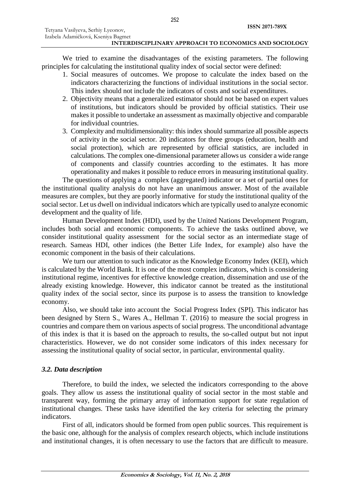We tried to examine the disadvantages of the existing parameters. The following principles for calculating the institutional quality index of social sector were defined:

- 1. Social measures of outcomes. We propose to calculate the index based on the indicators characterizing the functions of individual institutions in the social sector. This index should not include the indicators of costs and social expenditures.
- 2. Objectivity means that a generalized estimator should not be based on expert values of institutions, but indicators should be provided by official statistics. Their use makes it possible to undertake an assessment as maximally objective and comparable for individual countries.
- 3. Complexity and multidimensionality: this index should summarize all possible aspects of activity in the social sector. 20 indicators for three groups (education, health and social protection), which are represented by official statistics, are included in calculations. The complex one-dimensional parameter allows us consider a wide range of components and classify countries according to the estimates. It has more operationality and makes it possible to reduce errors in measuring institutional quality.

The questions of applying a complex (aggregated) indicator or a set of partial ones for the institutional quality analysis do not have an unanimous answer. Most of the available measures are complex, but they are poorly informative for study the institutional quality of the social sector. Let us dwell on individual indicators which are typically used to analyze economic development and the quality of life.

Human Development Index (HDI), used by the United Nations Development Program, includes both social and economic components. To achieve the tasks outlined above, we consider institutional quality assessment for the social sector as an intermediate stage of research. Sameas HDI, other indices (the Better Life Index, for example) also have the economic component in the basis of their calculations.

We turn our attention to such indicator as the Knowledge Economy Index (KEI), which is calculated by the World Bank. It is one of the most complex indicators, which is considering institutional regime, incentives for effective knowledge creation, dissemination and use of the already existing knowledge. However, this indicator cannot be treated as the institutional quality index of the social sector, since its purpose is to assess the transition to knowledge economy.

Also, we should take into account the Social Progress Index (SPI). This indicator has been designed by Stern S., Wares A., Hellman T. (2016) to measure the social progress in countries and compare them on various aspects of social progress. The unconditional advantage of this index is that it is based on the approach to results, the so-called output but not input characteristics. However, we do not consider some indicators of this index necessary for assessing the institutional quality of social sector, in particular, environmental quality.

# *3.2. Data description*

Therefore, to build the index, we selected the indicators corresponding to the above goals. They allow us assess the institutional quality of social sector in the most stable and transparent way, forming the primary array of information support for state regulation of institutional changes. These tasks have identified the key criteria for selecting the primary indicators.

First of all, indicators should be formed from open public sources. This requirement is the basic one, although for the analysis of complex research objects, which include institutions and institutional changes, it is often necessary to use the factors that are difficult to measure.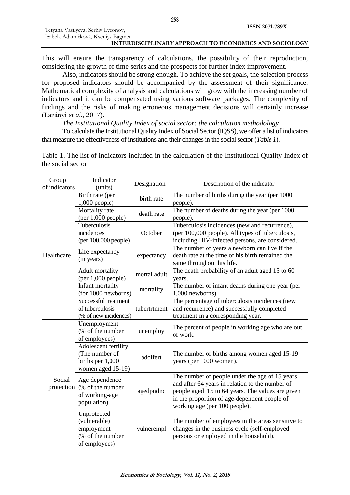This will ensure the transparency of calculations, the possibility of their reproduction, considering the growth of time series and the prospects for further index improvement.

Also, indicators should be strong enough. To achieve the set goals, the selection process for proposed indicators should be accompanied by the assessment of their significance. Mathematical complexity of analysis and calculations will grow with the increasing number of indicators and it can be compensated using various software packages. The complexity of findings and the risks of making erroneous management decisions will certainly increase (Lazányi *et al.*, 2017).

*The Institutional Quality Index of social sector: the calculation methodology*

To calculate the Institutional Quality Index of Social Sector (IQSS), we offer a list of indicators that measure the effectiveness of institutions and their changes in the social sector (*Table 1*).

Table 1. The list of indicators included in the calculation of the Institutional Quality Index of the social sector

| Group<br>of indicators | Indicator<br>(units)                                                                        | Designation  | Description of the indicator                                                                                                                                                                                                           |  |  |  |
|------------------------|---------------------------------------------------------------------------------------------|--------------|----------------------------------------------------------------------------------------------------------------------------------------------------------------------------------------------------------------------------------------|--|--|--|
|                        | Birth rate (per<br>$1,000$ people)                                                          | birth rate   | The number of births during the year (per 1000<br>people).                                                                                                                                                                             |  |  |  |
|                        | Mortality rate<br>(per 1,000 people)                                                        | death rate   | The number of deaths during the year (per 1000<br>people).                                                                                                                                                                             |  |  |  |
|                        | Tuberculosis<br>incidences<br>(per 100,000 people)                                          | October      | Tuberculosis incidences (new and recurrence),<br>(per 100,000 people). All types of tuberculosis,<br>including HIV-infected persons, are considered.                                                                                   |  |  |  |
| Healthcare             | Life expectancy<br>(in years)                                                               | expectancy   | The number of years a newborn can live if the<br>death rate at the time of his birth remained the<br>same throughout his life.                                                                                                         |  |  |  |
|                        | Adult mortality<br>((per 1,000 people))                                                     | mortal adult | The death probability of an adult aged 15 to 60<br>years.                                                                                                                                                                              |  |  |  |
|                        | Infant mortality<br>(for 1000 newborns)                                                     | mortality    | The number of infant deaths during one year (per<br>$1,000$ newborns).                                                                                                                                                                 |  |  |  |
|                        | Successful treatment<br>of tuberculosis<br>(% of new incidences)                            | tubertrtment | The percentage of tuberculosis incidences (new<br>and recurrence) and successfully completed<br>treatment in a corresponding year.                                                                                                     |  |  |  |
|                        | Unemployment<br>(% of the number<br>of employees)                                           | unemploy     | The percent of people in working age who are out<br>of work.                                                                                                                                                                           |  |  |  |
|                        | Adolescent fertility<br>(The number of<br>adolfert<br>births per 1,000<br>women aged 15-19) |              | The number of births among women aged 15-19<br>years (per 1000 women).                                                                                                                                                                 |  |  |  |
| Social                 | Age dependence<br>protection (% of the number<br>agedpndnc<br>of working-age<br>population) |              | The number of people under the age of 15 years<br>and after 64 years in relation to the number of<br>people aged 15 to 64 years. The values are given<br>in the proportion of age-dependent people of<br>working age (per 100 people). |  |  |  |
|                        | Unprotected<br>(vulnerable)<br>employment<br>(% of the number<br>of employees)              | vulnerempl   | The number of employees in the areas sensitive to<br>changes in the business cycle (self-employed<br>persons or employed in the household).                                                                                            |  |  |  |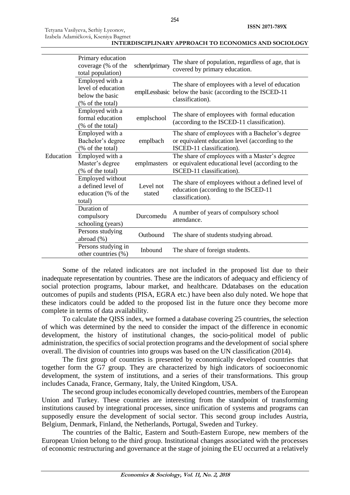Tetyana Vasilyeva, Serhiy Lyeonov, Izabela Adamičková, Kseniya Bagmet

| Education | Primary education<br>coverage (% of the<br>total population)                 | schenrlprimary      | The share of population, regardless of age, that is<br>covered by primary education.                                             |  |  |  |
|-----------|------------------------------------------------------------------------------|---------------------|----------------------------------------------------------------------------------------------------------------------------------|--|--|--|
|           | Employed with a<br>level of education<br>below the basic<br>(% of the total) |                     | The share of employees with a level of education<br>emplLessbasic below the basic (according to the ISCED-11<br>classification). |  |  |  |
|           | Employed with a<br>formal education<br>(% of the total)                      | emplschool          | The share of employees with formal education<br>(according to the ISCED-11 classification).                                      |  |  |  |
|           | Employed with a<br>Bachelor's degree<br>(% of the total)                     | emplbach            | The share of employees with a Bachelor's degree<br>or equivalent education level (according to the<br>ISCED-11 classification).  |  |  |  |
|           | Employed with a<br>Master's degree<br>(% of the total)                       | emplmasters         | The share of employees with a Master's degree<br>or equivalent educational level (according to the<br>ISCED-11 classification).  |  |  |  |
|           | Employed without<br>a defined level of<br>education (% of the<br>total)      | Level not<br>stated | The share of employees without a defined level of<br>education (according to the ISCED-11<br>classification).                    |  |  |  |
|           | Duration of<br>compulsory<br>schooling (years)                               | Durcomedu           | A number of years of compulsory school<br>attendance.                                                                            |  |  |  |
|           | Persons studying<br>abroad (%)                                               | Outbound            | The share of students studying abroad.                                                                                           |  |  |  |
|           | Persons studying in<br>other countries (%)                                   | Inbound             | The share of foreign students.                                                                                                   |  |  |  |

**INTERDISCIPLINARY APPROACH TO ECONOMICS AND SOCIOLOGY**

Some of the related indicators are not included in the proposed list due to their inadequate representation by countries. These are the indicators of adequacy and efficiency of social protection programs, labour market, and healthcare. Ddatabases on the education outcomes of pupils and students (PISA, EGRA etc.) have been also duly noted. We hope that these indicators could be added to the proposed list in the future once they become more complete in terms of data availability.

To calculate the QISS index, we formed a database covering 25 countries, the selection of which was determined by the need to consider the impact of the difference in economic development, the history of institutional changes, the socio-political model of public administration, the specifics of social protection programs and the development of social sphere overall. The division of countries into groups was based on the UN classification (2014).

The first group of countries is presented by economically developed countries that together form the G7 group. They are characterized by high indicators of socioeconomic development, the system of institutions, and a series of their transformations. This group includes Canada, France, Germany, Italy, the United Kingdom, USA.

The second group includes economically developed countries, members of the European Union and Turkey. These countries are interesting from the standpoint of transforming institutions caused by integrational processes, since unification of systems and programs can supposedly ensure the development of social sector. This second group includes Austria, Belgium, Denmark, Finland, the Netherlands, Portugal, Sweden and Turkey.

The countries of the Baltic, Eastern and South-Eastern Europe, new members of the European Union belong to the third group. Institutional changes associated with the processes of economic restructuring and governance at the stage of joining the EU occurred at a relatively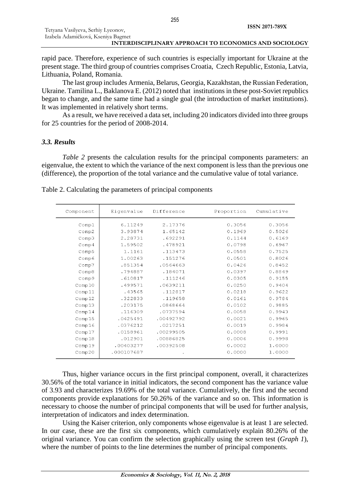Tetyana Vasilyeva, Serhiy Lyeonov, Izabela Adamičková, Kseniya Bagmet

#### **INTERDISCIPLINARY APPROACH TO ECONOMICS AND SOCIOLOGY**

rapid pace. Therefore, experience of such countries is especially important for Ukraine at the present stage. The third group of countries comprises Croatia, Czech Republic, Estonia, Latvia, Lithuania, Poland, Romania.

The last group includes Armenia, Belarus, Georgia, Kazakhstan, the Russian Federation, Ukraine. Tamilina L., Baklanova E. (2012) noted that institutions in these post-Soviet republics began to change, and the same time had a single goal (the introduction of market institutions). It was implemented in relatively short terms.

As a result, we have received a data set, including 20 indicators divided into three groups for 25 countries for the period of 2008-2014.

# *3.3. Results*

*Table 2* presents the calculation results for the principal components parameters: an eigenvalue, the extent to which the variance of the next component is less than the previous one (difference), the proportion of the total variance and the cumulative value of total variance.

| Component | Eigenvalue | Difference | Proportion | Cumulative |
|-----------|------------|------------|------------|------------|
| Comp1     | 6.11249    | 2.17376    | 0.3056     | 0.3056     |
| Comp2     | 3.93874    | 1.65142    | 0.1969     | 0.5026     |
| Comp3     | 2.28731    | .692291    | 0.1144     | 0.6169     |
| Comp4     | 1.59502    | .478921    | 0.0798     | 0.6967     |
| Comp5     | 1.1161     | .113473    | 0.0558     | 0.7525     |
| Comp6     | 1.00263    | .151276    | 0.0501     | 0.8026     |
| Comp7     | .851354    | .0564663   | 0.0426     | 0.8452     |
| Comp8     | .794887    | .184071    | 0.0397     | 0.8849     |
| Comp9     | .610817    | .111246    | 0.0305     | 0.9155     |
| Comp10    | .499571    | .0639211   | 0.0250     | 0.9404     |
| Comp11    | .43565     | .112817    | 0.0218     | 0.9622     |
| Comp12    | .322833    | .119658    | 0.0161     | 0.9784     |
| Comp13    | .203175    | .0868664   | 0.0102     | 0.9885     |
| Comp14    | .116309    | .0737594   | 0.0058     | 0.9943     |
| Comp15    | .0425491   | .00492792  | 0.0021     | 0.9965     |
| Comp16    | .0376212   | .0217251   | 0.0019     | 0.9984     |
| Comp17    | .0158961   | .00299505  | 0.0008     | 0.9991     |
| Comp18    | .012901    | .00886825  | 0.0006     | 0.9998     |
| Comp19    | .00403277  | .00392508  | 0.0002     | 1.0000     |
| Comp20    | .000107687 | ۰          | 0.0000     | 1.0000     |

Table 2. Calculating the parameters of principal components

Thus, higher variance occurs in the first principal component, overall, it characterizes 30.56% of the total variance in initial indicators, the second component has the variance value of 3.93 and characterizes 19.69% of the total variance. Cumulatively, the first and the second components provide explanations for 50.26% of the variance and so on. This information is necessary to choose the number of principal components that will be used for further analysis, interpretation of indicators and index determination.

Using the Kaiser criterion, only components whose eigenvalue is at least 1 are selected. In our case, these are the first six components, which cumulatively explain 80.26% of the original variance. You can confirm the selection graphically using the screen test (*Graph 1*), where the number of points to the line determines the number of principal components.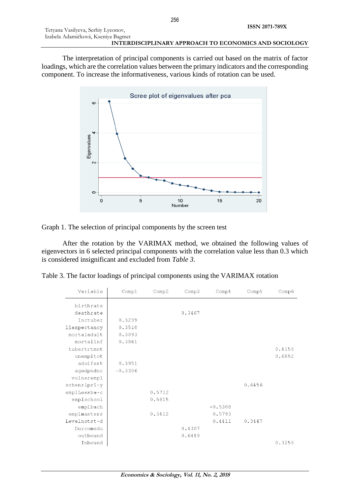The interpretation of principal components is carried out based on the matrix of factor loadings, which are the correlation values between the primary indicators and the corresponding component. To increase the informativeness, various kinds of rotation can be used.



Graph 1. The selection of principal components by the screen test

After the rotation by the VARIMAX method, we obtained the following values of eigenvectors in 6 selected principal components with the correlation value less than 0.3 which is considered insignificant and excluded from *Table 3*.

|  |  |  |  |  | Table 3. The factor loadings of principal components using the VARIMAX rotation |
|--|--|--|--|--|---------------------------------------------------------------------------------|
|--|--|--|--|--|---------------------------------------------------------------------------------|

| Variable               | Comp1     | Comp2  | Comp3  | Comp <sub>4</sub> | Comp5  | Comp6  |
|------------------------|-----------|--------|--------|-------------------|--------|--------|
| birthrate<br>deathrate |           |        | 0.3467 |                   |        |        |
| Inctuber               | 0.3239    |        |        |                   |        |        |
| liexpectancy           | 0.3510    |        |        |                   |        |        |
| mortaladult            | 0.3093    |        |        |                   |        |        |
| mortalinf              | 0.3861    |        |        |                   |        |        |
| tubertrtmnt            |           |        |        |                   |        | 0.4150 |
| unempltot              |           |        |        |                   |        | 0.6892 |
| adolfert               | 0.3951    |        |        |                   |        |        |
| agedpndnc              | $-0.3306$ |        |        |                   |        |        |
| vulnerempl             |           |        |        |                   |        |        |
| schenrlpri~y           |           |        |        |                   | 0.6456 |        |
| emplLessba~c           |           | 0.5712 |        |                   |        |        |
| emplschool             |           | 0.5815 |        |                   |        |        |
| emplbach               |           |        |        | $-0.5308$         |        |        |
| emplmasters            |           | 0.3412 |        | 0.5793            |        |        |
| Levelnotst~d           |           |        |        | 0.4411            | 0.3447 |        |
| Durcomedu              |           |        | 0.4307 |                   |        |        |
| outbound               |           |        | 0.6449 |                   |        |        |
| Inbound                |           |        |        |                   |        | 0.3250 |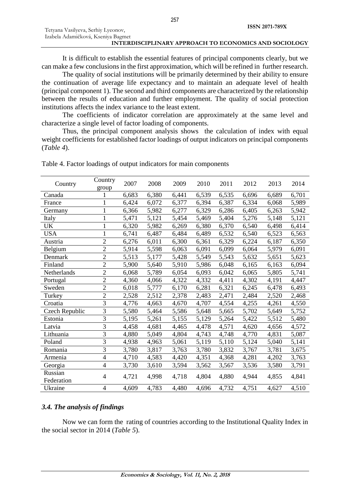It is difficult to establish the essential features of principal components clearly, but we can make a few conclusions in the first approximation, which will be refined in further research.

The quality of social institutions will be primarily determined by their ability to ensure the continuation of average life expectancy and to maintain an adequate level of health (principal component 1). The second and third components are characterized by the relationship between the results of education and further employment. The quality of social protection institutions affects the index variance to the least extent.

The coefficients of indicator correlation are approximately at the same level and characterize a single level of factor loading of components.

Thus, the principal component analysis shows the calculation of index with equal weight coefficients for established factor loadings of output indicators on principal components (*Table 4*).

| Country               | Country<br>group         | 2007  | 2008  | 2009  | 2010  | 2011  | 2012  | 2013  | 2014  |
|-----------------------|--------------------------|-------|-------|-------|-------|-------|-------|-------|-------|
| Canada                |                          | 6,683 | 6,380 | 6,441 | 6,539 | 6,535 | 6,696 | 6,689 | 6,701 |
| France                | 1                        | 6,424 | 6,072 | 6,377 | 6,394 | 6,387 | 6,334 | 6,068 | 5,989 |
| Germany               |                          | 6,366 | 5,982 | 6,277 | 6,329 | 6,286 | 6,405 | 6,263 | 5,942 |
| Italy                 | $\mathbf{1}$             | 5,471 | 5,121 | 5,454 | 5,469 | 5,404 | 5,276 | 5,148 | 5,121 |
| UK                    |                          | 6,320 | 5,982 | 6,269 | 6,380 | 6,370 | 6,540 | 6,498 | 6,414 |
| <b>USA</b>            | $\mathbf{1}$             | 6,741 | 6,487 | 6,484 | 6,489 | 6,532 | 6,540 | 6,523 | 6,563 |
| Austria               | $\overline{2}$           | 6,276 | 6,011 | 6,300 | 6,361 | 6,329 | 6,224 | 6,187 | 6,350 |
| Belgium               | $\overline{2}$           | 5,914 | 5,598 | 6,063 | 6,091 | 6,099 | 6,064 | 5,979 | 6,091 |
| Denmark               | $\overline{2}$           | 5,513 | 5,177 | 5,428 | 5,549 | 5,543 | 5,632 | 5,651 | 5,623 |
| Finland               | $\overline{2}$           | 5,900 | 5,640 | 5,910 | 5,986 | 6,048 | 6,165 | 6,163 | 6,094 |
| Netherlands           | $\overline{2}$           | 6,068 | 5,789 | 6,054 | 6,093 | 6,042 | 6,065 | 5,805 | 5,741 |
| Portugal              | $\overline{2}$           | 4,360 | 4,066 | 4,322 | 4,332 | 4,411 | 4,302 | 4,191 | 4,447 |
| Sweden                | $\overline{2}$           | 6,018 | 5,777 | 6,170 | 6,281 | 6,321 | 6,245 | 6,478 | 6,493 |
| Turkey                | $\overline{2}$           | 2,528 | 2,512 | 2,378 | 2,483 | 2,471 | 2,484 | 2,520 | 2,468 |
| Croatia               | 3                        | 4,776 | 4,663 | 4,670 | 4,707 | 4,554 | 4,255 | 4,261 | 4,550 |
| <b>Czech Republic</b> | 3                        | 5,580 | 5,464 | 5,586 | 5,648 | 5,665 | 5,702 | 5,649 | 5,752 |
| Estonia               | 3                        | 5,195 | 5,261 | 5,155 | 5,129 | 5,264 | 5,422 | 5,512 | 5,480 |
| Latvia                | $\overline{3}$           | 4,458 | 4,681 | 4,465 | 4,478 | 4,571 | 4,620 | 4,656 | 4,572 |
| Lithuania             | 3                        | 4,880 | 5,049 | 4,804 | 4,743 | 4,748 | 4,770 | 4,831 | 5,087 |
| Poland                | 3                        | 4,938 | 4,963 | 5,061 | 5,119 | 5,110 | 5,124 | 5,040 | 5,141 |
| Romania               | $\overline{3}$           | 3,780 | 3,817 | 3,763 | 3,780 | 3,832 | 3,767 | 3,781 | 3,675 |
| Armenia               | $\overline{4}$           | 4,710 | 4,583 | 4,420 | 4,351 | 4,368 | 4,281 | 4,202 | 3,763 |
| Georgia               | $\overline{4}$           | 3,730 | 3,610 | 3,594 | 3,562 | 3,567 | 3,536 | 3,580 | 3,791 |
| Russian<br>Federation | $\overline{\mathcal{L}}$ | 4,721 | 4,998 | 4,718 | 4,804 | 4,880 | 4,944 | 4,855 | 4,841 |
| Ukraine               | $\overline{4}$           | 4,609 | 4,783 | 4,480 | 4,696 | 4,732 | 4,751 | 4,627 | 4,510 |

Table 4. Factor loadings of output indicators for main components

# *3.4. The analysis of findings*

Now we can form the rating of countries according to the Institutional Quality Index in the social sector in 2014 (*Table 5*).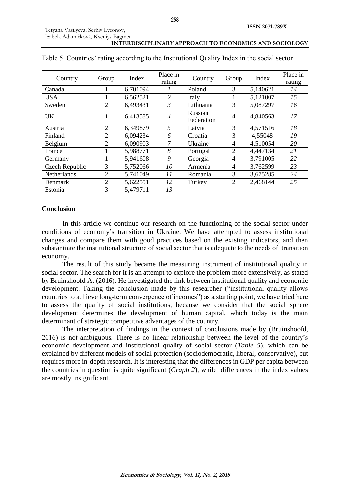| Country        | Group | Index    | Place in<br>rating | Country               | Group          | Index    | Place in<br>rating |
|----------------|-------|----------|--------------------|-----------------------|----------------|----------|--------------------|
| Canada         |       | 6,701094 |                    | Poland                | 3              | 5,140621 | 14                 |
| <b>USA</b>     |       | 6,562521 | 2                  | Italy                 |                | 5,121007 | 15                 |
| Sweden         | 2     | 6,493431 | 3                  | Lithuania             | 3              | 5,087297 | 16                 |
| <b>UK</b>      | 1     | 6,413585 | $\overline{4}$     | Russian<br>Federation | 4              | 4,840563 | 17                 |
| Austria        | 2     | 6,349879 | 5                  | Latvia                | 3              | 4,571516 | 18                 |
| Finland        | 2     | 6,094234 | 6                  | Croatia               | 3              | 4,55048  | 19                 |
| Belgium        | 2     | 6,090903 | 7                  | Ukraine               | 4              | 4,510054 | 20                 |
| France         |       | 5,988771 | 8                  | Portugal              | 2              | 4,447134 | 21                 |
| Germany        |       | 5,941608 | 9                  | Georgia               | 4              | 3,791005 | 22                 |
| Czech Republic | 3     | 5,752066 | 10                 | Armenia               | 4              | 3,762599 | 23                 |
| Netherlands    | 2     | 5,741049 | 11                 | Romania               | 3              | 3,675285 | 24                 |
| Denmark        | 2     | 5,622551 | 12                 | Turkey                | $\overline{2}$ | 2,468144 | 25                 |
| Estonia        | 3     | 5,479711 | 13                 |                       |                |          |                    |

# Table 5. Countries' rating according to the Institutional Quality Index in the social sector

# **Conclusion**

In this article we continue our research on the functioning of the social sector under conditions of economy's transition in Ukraine. We have attempted to assess institutional changes and compare them with good practices based on the existing indicators, and then substantiate the institutional structure of social sector that is adequate to the needs of transition economy.

The result of this study became the measuring instrument of institutional quality in social sector. The search for it is an attempt to explore the problem more extensively, as stated by Bruinshoofd A. (2016). He investigated the link between institutional quality and economic development. Taking the conclusion made by this researcher ("institutional quality allows countries to achieve long-term convergence of incomes") as a starting point, we have tried here to assess the quality of social institutions, because we consider that the social sphere development determines the development of human capital, which today is the main determinant of strategic competitive advantages of the country.

The interpretation of findings in the context of conclusions made by (Bruinshoofd, 2016) is not ambiguous. There is no linear relationship between the level of the country's economic development and institutional quality of social sector (*Table 5*), which can be explained by different models of social protection (sociodemocratic, liberal, conservative), but requires more in-depth research. It is interesting that the differences in GDP per capita between the countries in question is quite significant (*Graph 2*), while differences in the index values are mostly insignificant.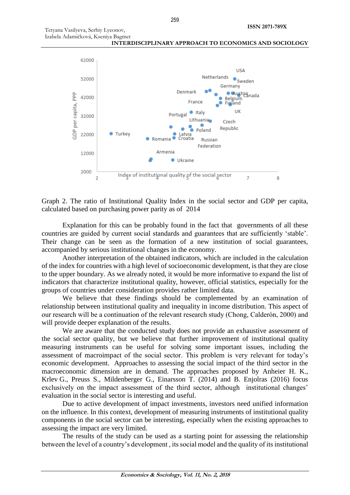

Graph 2. The ratio of Institutional Quality Index in the social sector and GDP per capita, calculated based on purchasing power parity as of 2014

Explanation for this can be probably found in the fact that governments of all these countries are guided by current social standards and guarantees that are sufficiently 'stable'. Their change can be seen as the formation of a new institution of social guarantees, accompanied by serious institutional changes in the economy.

Another interpretation of the obtained indicators, which are included in the calculation of the index for countries with a high level of socioeconomic development, is that they are close to the upper boundary. As we already noted, it would be more informative to expand the list of indicators that characterize institutional quality, however, official statistics, especially for the groups of countries under consideration provides rather limited data.

We believe that these findings should be complemented by an examination of relationship between institutional quality and inequality in income distribution. This aspect of our research will be a continuation of the relevant research study (Chong, Calderón, 2000) and will provide deeper explanation of the results.

We are aware that the conducted study does not provide an exhaustive assessment of the social sector quality, but we believe that further improvement of institutional quality measuring instruments can be useful for solving some important issues, including the assessment of macroimpact of the social sector. This problem is very relevant for today's economic development. Approaches to assessing the social impact of the third sector in the macroeconomic dimension are in demand. The approaches proposed by Anheier H. K., Krlev G., Preuss S., Mildenberger G., Einarsson T. (2014) and B. Enjolras (2016) focus exclusively on the impact assessment of the third sector, although institutional changes' evaluation in the social sector is interesting and useful.

Due to active development of impact investments, investors need unified information on the influence. In this context, development of measuring instruments of institutional quality components in the social sector can be interesting, especially when the existing approaches to assessing the impact are very limited.

The results of the study can be used as a starting point for assessing the relationship between the level of a country's development , its social model and the quality of its institutional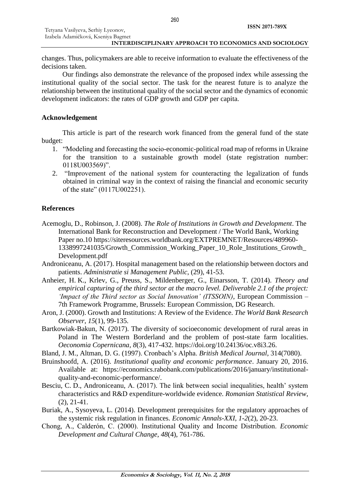changes. Thus, policymakers are able to receive information to evaluate the effectiveness of the decisions taken.

Our findings also demonstrate the relevance of the proposed index while assessing the institutional quality of the social sector. The task for the nearest future is to analyze the relationship between the institutional quality of the social sector and the dynamics of economic development indicators: the rates of GDP growth and GDP per capita.

# **Acknowledgement**

This article is part of the research work financed from the general fund of the state budget:

- 1. "Modeling and forecasting the socio-economic-political road map of reforms in Ukraine for the transition to a sustainable growth model (state registration number: 0118U003569)".
- 2. "Improvement of the national system for counteracting the legalization of funds obtained in criminal way in the context of raising the financial and economic security of the state" (0117U002251).

# **References**

- Acemoglu, D., Robinson, J. (2008). *The Role of Institutions in Growth and Development*. The International Bank for Reconstruction and Development / The World Bank, Working Paper no.10 [https://siteresources.worldbank.org/EXTPREMNET/Resources/489960-](https://siteresources.worldbank.org/EXTPREMNET/Resources/489960-1338997241035/Growth_Commission_Working_Paper_10_Role_Institutions_Growth_Development.pdf) [1338997241035/Growth\\_Commission\\_Working\\_Paper\\_10\\_Role\\_Institutions\\_Growth\\_](https://siteresources.worldbank.org/EXTPREMNET/Resources/489960-1338997241035/Growth_Commission_Working_Paper_10_Role_Institutions_Growth_Development.pdf) [Development.pdf](https://siteresources.worldbank.org/EXTPREMNET/Resources/489960-1338997241035/Growth_Commission_Working_Paper_10_Role_Institutions_Growth_Development.pdf)
- Androniceanu, A. (2017). Hospital management based on the relationship between doctors and patients. *Administratie si Management Public*, (29), 41-53.
- Anheier, H. K., Krlev, G., Preuss, S., Mildenberger, G., Einarsson, T. (2014). *Theory and empirical capturing of the third sector at the macro level. Deliverable 2.1 of the project: 'Impact of the Third sector as Social Innovation' (ITSSOIN)*, European Commission – 7th Framework Programme, Brussels: European Commission, DG Research.
- Aron, J. (2000). Growth and Institutions: A Review of the Evidence. *The World Bank Research Observer*, *15*(1), 99-135.
- Bartkowiak-Bakun, N. (2017). The diversity of socioeconomic development of rural areas in Poland in The Western Borderland and the problem of post-state farm localities. *Oeconomia Copernicana*, *8*(3), 417-432. https://doi.org/10.24136/oc.v8i3.26.

Bland, J. M., Altman, D. G. (1997). Cronbach's Alpha. *British Medical Journal*, 314(7080).

- Bruinshoofd, A. (2016). *Institutional quality and economic performance*. January 20, 2016. Available at: [https://economics.rabobank.com/publications/2016/january/institutional](https://economics.rabobank.com/publications/2016/january/institutional-quality-and-economic-performance/)[quality-and-economic-performance/.](https://economics.rabobank.com/publications/2016/january/institutional-quality-and-economic-performance/)
- Besciu, C. D., Androniceanu, A. (2017). The link between social inequalities, health' system characteristics and R&D expenditure-worldwide evidence. *Romanian Statistical Review*, (2), 21-41.
- Buriak, A., Sysoyeva, L. (2014). Development prerequisites for the regulatory approaches of the systemic risk regulation in finances. *Economic Annals-XXI*, *1-2*(2), 20-23.
- Chong, A., Calderón, C. (2000). Institutional Quality and Income Distribution. *Economic Development and Cultural Change*, *48*(4), 761-786.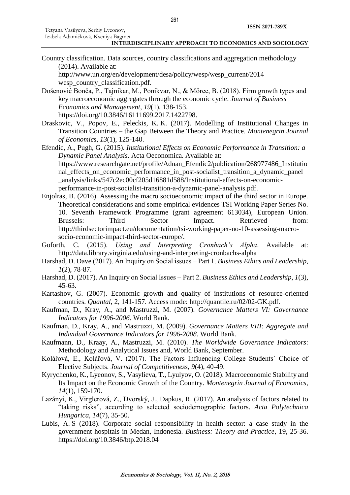Country classification. Data sources, country classifications and aggregation methodology (2014). Available at:

[http://www.un.org/en/development/desa/policy/wesp/wesp\\_current/2014](http://www.un.org/en/development/desa/policy/wesp/wesp_current/2014%20wesp_country_classification.pdf)  [wesp\\_country\\_classification.pdf.](http://www.un.org/en/development/desa/policy/wesp/wesp_current/2014%20wesp_country_classification.pdf)

- Došenović Bonča, P., Tajnikar, M., Ponikvar, N., & Mörec, B. (2018). Firm growth types and key macroeconomic aggregates through the economic cycle. *Journal of Business Economics and Management*, *19*(1), 138-153. https://doi.org/10.3846/16111699.2017.1422798.
- Draskovic, V., Popov, E., Peleckis, K. K. (2017). Modelling of Institutional Changes in Transition Countries – the Gap Between the Theory and Practice. *Montenegrin Journal of Economics*, *13*(1), 125-140.

Efendic, A., Pugh, G. (2015). *Institutional Effects on Economic Performance in Transition: a Dynamic Panel Analysis*. Acta Oeconomica. Available at: [https://www.researchgate.net/profile/Adnan\\_Efendic2/publication/268977486\\_Institutio](https://www.researchgate.net/profile/Adnan_Efendic2/publication/268977486_Institutional_effects_on_economic_performance_in_post-socialist_transition_a_dynamic_panel%20_analysis/links/547c2ec00cf205d16881d588/Institutional-effects-on-economic-performance-in-post-socialist-transition-a-dynamic-panel-analysis.pdf) nal\_effects\_on\_economic\_performance\_in\_post-socialist\_transition\_a\_dynamic\_panel\_ [\\_analysis/links/547c2ec00cf205d16881d588/Institutional-effects-on-economic](https://www.researchgate.net/profile/Adnan_Efendic2/publication/268977486_Institutional_effects_on_economic_performance_in_post-socialist_transition_a_dynamic_panel%20_analysis/links/547c2ec00cf205d16881d588/Institutional-effects-on-economic-performance-in-post-socialist-transition-a-dynamic-panel-analysis.pdf)[performance-in-post-socialist-transition-a-dynamic-panel-analysis.pdf.](https://www.researchgate.net/profile/Adnan_Efendic2/publication/268977486_Institutional_effects_on_economic_performance_in_post-socialist_transition_a_dynamic_panel%20_analysis/links/547c2ec00cf205d16881d588/Institutional-effects-on-economic-performance-in-post-socialist-transition-a-dynamic-panel-analysis.pdf)

- Enjolras, B. (2016). Assessing the macro socioeconomic impact of the third sector in Europe. Theoretical considerations and some empirical evidences TSI Working Paper Series No. 10. Seventh Framework Programme (grant agreement 613034), European Union. Brussels: Third Sector Impact. Retrieved from: [http://thirdsectorimpact.eu/documentation/tsi-working-paper-no-10-assessing-macro](https://l.facebook.com/l.php?u=http%3A%2F%2Fthirdsectorimpact.eu%2Fdocumentation%2Ftsi-working-paper-no-10-assessing-macro-socio-economic-impact-third-sector-europe%2F&h=ATNMYSR8hJi0K5Pgl8gF0oK2NiqCVHDHbpG_cQldu8L7dwwKBumL5dPS-WEFxBCXccPyvbCkoSGkqVsCaze30NPaYO7U2Awb4W5fbqN2M7HJ4hIK6Rlc)[socio-economic-impact-third-sector-europe/.](https://l.facebook.com/l.php?u=http%3A%2F%2Fthirdsectorimpact.eu%2Fdocumentation%2Ftsi-working-paper-no-10-assessing-macro-socio-economic-impact-third-sector-europe%2F&h=ATNMYSR8hJi0K5Pgl8gF0oK2NiqCVHDHbpG_cQldu8L7dwwKBumL5dPS-WEFxBCXccPyvbCkoSGkqVsCaze30NPaYO7U2Awb4W5fbqN2M7HJ4hIK6Rlc)
- Goforth, C. (2015). *Using and Interpreting Cronbach's Alpha*. Available at: <http://data.library.virginia.edu/using-and-interpreting-cronbachs-alpha>
- Harshad, D. Dave (2017). An Іnquiry on Social issues − Part 1. *Business Ethics and Leadership*, *1*(2), 78-87.
- Harshad, D. (2017). [An Inquiry on Social Issues − Part 2.](http://armgpublishing.sumdu.edu.ua/journals/bel/issue-3/article-6/) *Business Ethics and Leadership*, *1*(3), 45-63.
- Kartashov, G. (2007). Economic growth and quality of institutions of resource-oriented countries. *Quantal*, 2, 141-157. Access mode: [http://quantile.ru/02/02-GK.pdf.](http://quantile.ru/02/02-GK.pdf)
- Kaufman, D., Kray, A., and Mastruzzi, M. (2007). *Governance Matters VI: Governance Indicators for 1996-2006*. World Bank.
- Kaufman, D., Kray, A., and Mastruzzi, M. (2009). *Governance Matters VIII: Aggregate and Individual Governance Indicators for 1996-2008*. World Bank.
- Kaufmann, D., Kraay, A., Mastruzzi, M. (2010). *The Worldwide Governance Indicators*: Methodology and Analytical Issues and, World Bank, September.
- Kolářová, E., Kolářová, V. (2017). The Factors Influencing College Students´ Choice of Elective Subjects. *Journal of Competitiveness*, *9*(4), 40-49.
- Kyrychenko, K., Lyeonov, S., Vasylieva, T., Lyulyov, O. (2018). Macroeconomic Stability and Its Impact on the Economic Growth of the Country. *Montenegrin Journal of Economics*, *14*(1), 159-170.
- Lazányi, K., Virglerová, Z., Dvorský, J., Dapkus, R. (2017). An analysis of factors related to "taking risks", according to selected sociodemographic factors. *Acta Polytechnica Hungarica*, *14*(7), 35-50.
- Lubis, A. S (2018). Corporate social responsibility in health sector: a case study in the government hospitals in Medan, Indonesia. *Business: Theory and Practice*, 19, 25-36. <https://doi.org/10.3846/btp.2018.04>